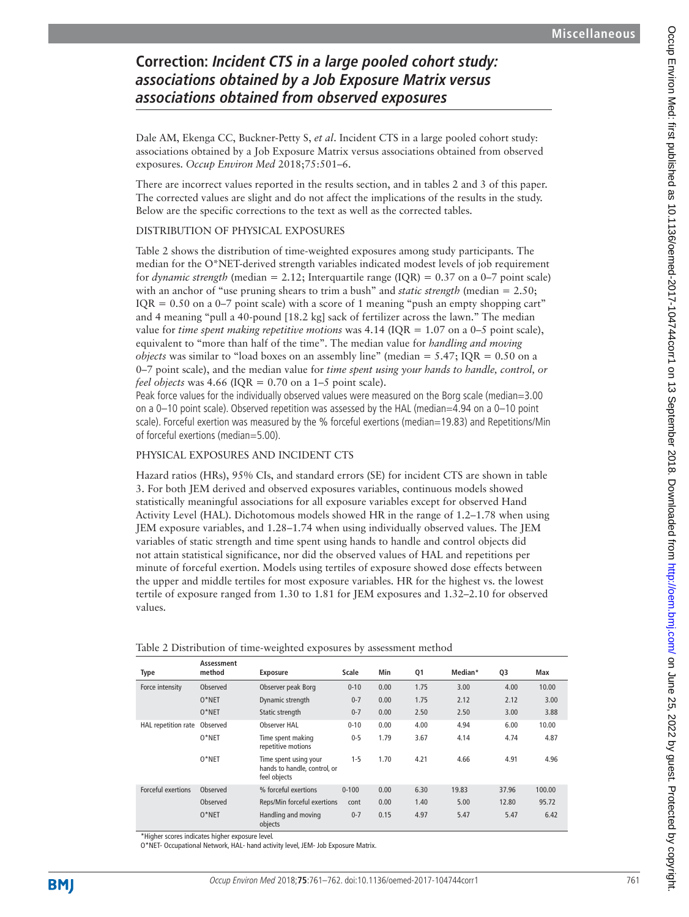## **Correction: Incident CTS in a large pooled cohort study: associations obtained by a Job Exposure Matrix versus associations obtained from observed exposures**

Dale AM, Ekenga CC, Buckner-Petty S, *et al*. Incident CTS in a large pooled cohort study: associations obtained by a Job Exposure Matrix versus associations obtained from observed exposures. *Occup Environ Med* 2018;75:501–6.

There are incorrect values reported in the results section, and in tables 2 and 3 of this paper. The corrected values are slight and do not affect the implications of the results in the study. Below are the specific corrections to the text as well as the corrected tables.

## DISTRIBUTION OF PHYSICAL EXPOSURES

Table 2 shows the distribution of time-weighted exposures among study participants. The median for the O\*NET-derived strength variables indicated modest levels of job requirement for *dynamic strength* (median = 2.12; Interquartile range (IQR) = 0.37 on a 0–7 point scale) with an anchor of "use pruning shears to trim a bush" and *static strength* (median = 2.50;  $IQR = 0.50$  on a 0–7 point scale) with a score of 1 meaning "push an empty shopping cart" and 4 meaning "pull a 40-pound [18.2 kg] sack of fertilizer across the lawn." The median value for *time spent making repetitive motions* was  $4.14$  (IQR = 1.07 on a 0–5 point scale), equivalent to "more than half of the time". The median value for *handling and moving objects* was similar to "load boxes on an assembly line" (median = 5.47; IQR = 0.50 on a 0–7 point scale), and the median value for *time spent using your hands to handle, control, or feel objects* was 4.66 (IQR =  $0.70$  on a 1–5 point scale).

Peak force values for the individually observed values were measured on the Borg scale (median=3.00 on a 0–10 point scale). Observed repetition was assessed by the HAL (median=4.94 on a 0–10 point scale). Forceful exertion was measured by the % forceful exertions (median=19.83) and Repetitions/Min of forceful exertions (median=5.00).

## PHYSICAL EXPOSURES AND INCIDENT CTS

Hazard ratios (HRs), 95% CIs, and standard errors (SE) for incident CTS are shown in table 3. For both JEM derived and observed exposures variables, continuous models showed statistically meaningful associations for all exposure variables except for observed Hand Activity Level (HAL). Dichotomous models showed HR in the range of 1.2–1.78 when using JEM exposure variables, and 1.28–1.74 when using individually observed values. The JEM variables of static strength and time spent using hands to handle and control objects did not attain statistical significance, nor did the observed values of HAL and repetitions per minute of forceful exertion. Models using tertiles of exposure showed dose effects between the upper and middle tertiles for most exposure variables. HR for the highest vs. the lowest tertile of exposure ranged from 1.30 to 1.81 for JEM exposures and 1.32–2.10 for observed values.

| <b>Type</b>         | Assessment<br>method | <b>Exposure</b>                                                       | Scale     | Min  | Q1   | Median* | Q3    | Max    |
|---------------------|----------------------|-----------------------------------------------------------------------|-----------|------|------|---------|-------|--------|
| Force intensity     | Observed             | Observer peak Borg                                                    | $0 - 10$  | 0.00 | 1.75 | 3.00    | 4.00  | 10.00  |
|                     | $O*NET$              | Dynamic strength                                                      | $0 - 7$   | 0.00 | 1.75 | 2.12    | 2.12  | 3.00   |
|                     | $0*$ NET             | Static strength                                                       | $0 - 7$   | 0.00 | 2.50 | 2.50    | 3.00  | 3.88   |
| HAL repetition rate | Observed             | Observer HAL                                                          | $0 - 10$  | 0.00 | 4.00 | 4.94    | 6.00  | 10.00  |
|                     | $0*$ NET             | Time spent making<br>repetitive motions                               | $0-5$     | 1.79 | 3.67 | 4.14    | 4.74  | 4.87   |
|                     | $0*$ NET             | Time spent using your<br>hands to handle, control, or<br>feel objects | $1 - 5$   | 1.70 | 4.21 | 4.66    | 4.91  | 4.96   |
| Forceful exertions  | Observed             | % forceful exertions                                                  | $0 - 100$ | 0.00 | 6.30 | 19.83   | 37.96 | 100.00 |
|                     | Observed             | Reps/Min forceful exertions                                           | cont      | 0.00 | 1.40 | 5.00    | 12.80 | 95.72  |
|                     | $O*NET$              | Handling and moving<br>objects                                        | $0 - 7$   | 0.15 | 4.97 | 5.47    | 5.47  | 6.42   |

|  | Table 2 Distribution of time-weighted exposures by assessment method |  |  |  |
|--|----------------------------------------------------------------------|--|--|--|
|  |                                                                      |  |  |  |

\*Higher scores indicates higher exposure level.

O\*NET- Occupational Network, HAL- hand activity level, JEM- Job Exposure Matrix.

Occup Environ Med: first published as 10.11136/oemed-2017-104744corr1 on 13 September 2018. Downloaded from http://oem.bmj.com/ on June 25, 2022 by guest. Protected by copyright Occup Environ Med: first published as 10.1136/oemed-2017-104744corr1 on 13 September 2018. Downloaded from Med://oem.bmj.com/ on June 25, 2022 by guest. Protected by copyright.